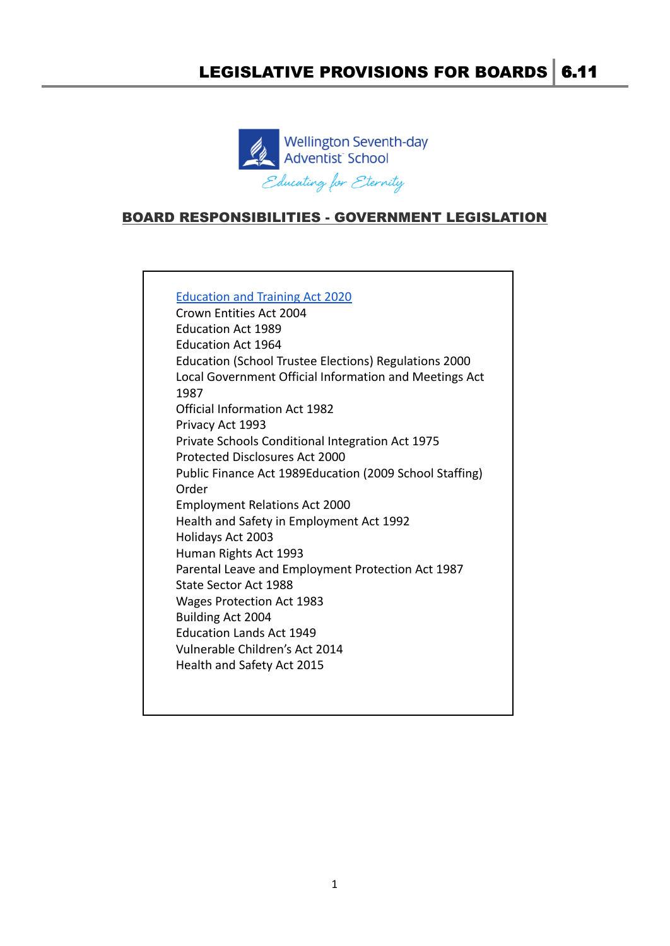# LEGISLATIVE PROVISIONS FOR BOARDS 6.11



#### BOARD RESPONSIBILITIES - GOVERNMENT LEGISLATION

### [Education and Training Act 2020](https://www.legislation.govt.nz/act/public/2020/0038/latest/LMS170676.html) [Crown Entities Act 2004](http://www.nzsta.org.nz/board-responsibilties/legislation/crown-entities-act/) [Education Act 1989](http://www.legislation.govt.nz/act/public/1989/0080/latest/link.aspx?search=ts_act_education+act_resel&p=1) [Education Act 1964](http://www.legislation.govt.nz/act/public/1964/0135/latest/link.aspx?search=ts_act_education+act_resel&p=1) [Education \(School Trustee Elections\) Regulations 2000](http://www.legislation.govt.nz/regulation/public/2000/0195/latest/link.aspx?search=ts_regulation_elections_resel&p=1) [Local Government Official Information and Meetings Act](http://www.legislation.govt.nz/act/public/1987/0174/latest/link.aspx?search=ts_act_meetings_resel&p=1) [1987](http://www.legislation.govt.nz/act/public/1987/0174/latest/link.aspx?search=ts_act_meetings_resel&p=1) [Official Information Act 1982](http://www.nzsta.org.nz/board-responsibilties/legislation/official-information-act-1982/) [Privacy Act 1993](http://www.nzsta.org.nz/media/NZSTA/5.0%20Board%20as%20employer/5.4%20Employment%20legislation/Privacy%20Act%201993%20-%20S.pdf) [Private Schools Conditional Integration Act 1975](http://www.legislation.govt.nz/act/public/1975/0129/latest/link.aspx?search=ad_act_teacher_____aa_acur_r&p=1) [Protected Disclosures Act 2000](http://www.nzsta.org.nz/Board-responsibilties/Legislation/Protected-Disclosures-Act/) [Public Finance Act 1989](http://www.legislation.govt.nz/act/public/1989/0044/latest/link.aspx?search=ts_act_finance_resel&p=1)[Education \(2009 School Staffing\)](http://www.legislation.govt.nz/regulation/public/2008/0298/latest/link.aspx?search=ts_regulation_staffing_resel&p=1) [Order](http://www.legislation.govt.nz/regulation/public/2008/0298/latest/link.aspx?search=ts_regulation_staffing_resel&p=1) [Employment Relations Act 2000](http://www.legislation.govt.nz/act/public/2000/0024/latest/link.aspx?search=ts_act_employment_resel&p=1) [Health and Safety in Employment Act 1992](http://www.legislation.govt.nz/act/public/1992/0096/latest/link.aspx?search=ts_act_employment_resel&p=1) [Holidays Act 2003](http://www.legislation.govt.nz/act/public/2003/0129/latest/link.aspx?search=ts_act_holidays_resel&p=1) [Human Rights Act 1993](http://www.legislation.govt.nz/act/public/1993/0082/latest/DLM304212.html) [Parental Leave and Employment Protection Act 1987](http://www.legislation.govt.nz/act/public/1987/0129/latest/link.aspx?search=ts_act_employment_resel&p=1) [State Sector Act 1988](http://www.legislation.govt.nz/act/public/1988/0020/latest/link.aspx?search=ts_act_state+sector+act_resel&p=1) [Wages Protection Act 1983](http://www.legislation.govt.nz/act/public/1983/0143/latest/link.aspx?search=ts_act_wages_resel&p=1) [Building Act 2004](http://www.legislation.govt.nz/act/public/2004/0072/latest/link.aspx?search=ts_act_building_resel&p=1) [Education Lands Act 1949](http://www.legislation.govt.nz/act/public/1949/0024/latest/link.aspx?search=ts_act_education_resel&p=1) Vulnerable Children's Act 2014 Health and Safety Act 2015